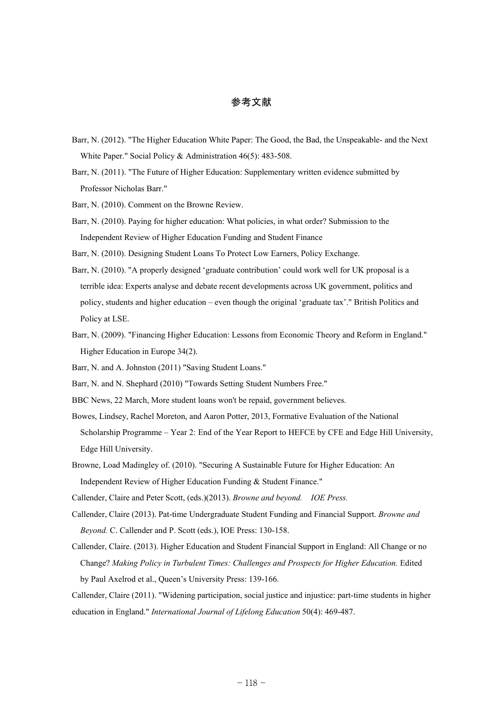## 参考文献

- Barr, N. (2012). "The Higher Education White Paper: The Good, the Bad, the Unspeakable- and the Next White Paper." Social Policy & Administration 46(5): 483-508.
- Barr, N. (2011). "The Future of Higher Education: Supplementary written evidence submitted by Professor Nicholas Barr."
- Barr, N. (2010). Comment on the Browne Review.
- Barr, N. (2010). Paying for higher education: What policies, in what order? Submission to the Independent Review of Higher Education Funding and Student Finance

Barr, N. (2010). Designing Student Loans To Protect Low Earners, Policy Exchange.

- Barr, N. (2010). "A properly designed 'graduate contribution' could work well for UK proposal is a terrible idea: Experts analyse and debate recent developments across UK government, politics and policy, students and higher education – even though the original 'graduate tax'." British Politics and Policy at LSE.
- Barr, N. (2009). "Financing Higher Education: Lessons from Economic Theory and Reform in England." Higher Education in Europe 34(2).
- Barr, N. and A. Johnston (2011) "Saving Student Loans."
- Barr, N. and N. Shephard (2010) "Towards Setting Student Numbers Free."
- BBC News, 22 March, More student loans won't be repaid, government believes.
- Bowes, Lindsey, Rachel Moreton, and Aaron Potter, 2013, Formative Evaluation of the National Scholarship Programme – Year 2: End of the Year Report to HEFCE by CFE and Edge Hill University, Edge Hill University.
- Browne, Load Madingley of. (2010). "Securing A Sustainable Future for Higher Education: An Independent Review of Higher Education Funding & Student Finance."
- Callender, Claire and Peter Scott, (eds.)(2013). *Browne and beyond. IOE Press.*
- Callender, Claire (2013). Pat-time Undergraduate Student Funding and Financial Support. *Browne and Beyond.* C. Callender and P. Scott (eds.), IOE Press: 130-158.
- Callender, Claire. (2013). Higher Education and Student Financial Support in England: All Change or no Change? *Making Policy in Turbulent Times: Challenges and Prospects for Higher Education.* Edited by Paul Axelrod et al., Queen's University Press: 139-166.
- Callender, Claire (2011). "Widening participation, social justice and injustice: part-time students in higher education in England." *International Journal of Lifelong Education* 50(4): 469-487.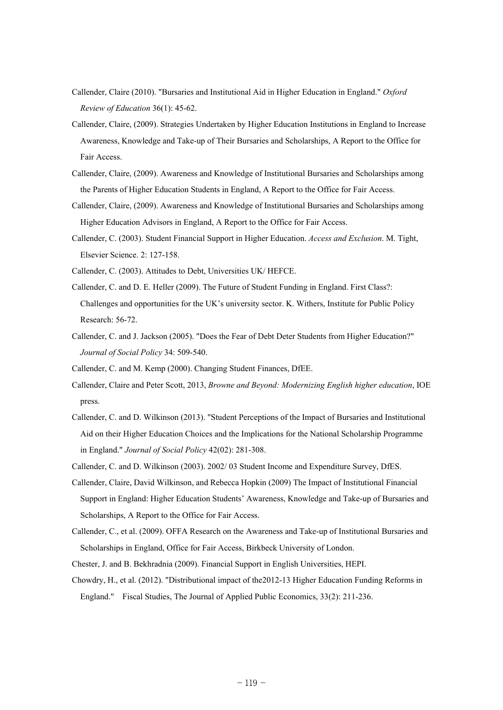- Callender, Claire (2010). "Bursaries and Institutional Aid in Higher Education in England." *Oxford Review of Education* 36(1): 45-62.
- Callender, Claire, (2009). Strategies Undertaken by Higher Education Institutions in England to Increase Awareness, Knowledge and Take-up of Their Bursaries and Scholarships, A Report to the Office for Fair Access.
- Callender, Claire, (2009). Awareness and Knowledge of Institutional Bursaries and Scholarships among the Parents of Higher Education Students in England, A Report to the Office for Fair Access.
- Callender, Claire, (2009). Awareness and Knowledge of Institutional Bursaries and Scholarships among Higher Education Advisors in England, A Report to the Office for Fair Access.
- Callender, C. (2003). Student Financial Support in Higher Education. *Access and Exclusion*. M. Tight, Elsevier Science. 2: 127-158.
- Callender, C. (2003). Attitudes to Debt, Universities UK/ HEFCE.
- Callender, C. and D. E. Heller (2009). The Future of Student Funding in England. First Class?: Challenges and opportunities for the UK's university sector. K. Withers, Institute for Public Policy Research: 56-72.
- Callender, C. and J. Jackson (2005). "Does the Fear of Debt Deter Students from Higher Education?" *Journal of Social Policy* 34: 509-540.
- Callender, C. and M. Kemp (2000). Changing Student Finances, DfEE.
- Callender, Claire and Peter Scott, 2013, *Browne and Beyond: Modernizing English higher education*, IOE press.
- Callender, C. and D. Wilkinson (2013). "Student Perceptions of the Impact of Bursaries and Institutional Aid on their Higher Education Choices and the Implications for the National Scholarship Programme in England." *Journal of Social Policy* 42(02): 281-308.
- Callender, C. and D. Wilkinson (2003). 2002/ 03 Student Income and Expenditure Survey, DfES.
- Callender, Claire, David Wilkinson, and Rebecca Hopkin (2009) The Impact of Institutional Financial Support in England: Higher Education Students' Awareness, Knowledge and Take-up of Bursaries and Scholarships, A Report to the Office for Fair Access.
- Callender, C., et al. (2009). OFFA Research on the Awareness and Take-up of Institutional Bursaries and Scholarships in England, Office for Fair Access, Birkbeck University of London.
- Chester, J. and B. Bekhradnia (2009). Financial Support in English Universities, HEPI.
- Chowdry, H., et al. (2012). "Distributional impact of the2012-13 Higher Education Funding Reforms in England." Fiscal Studies, The Journal of Applied Public Economics, 33(2): 211-236.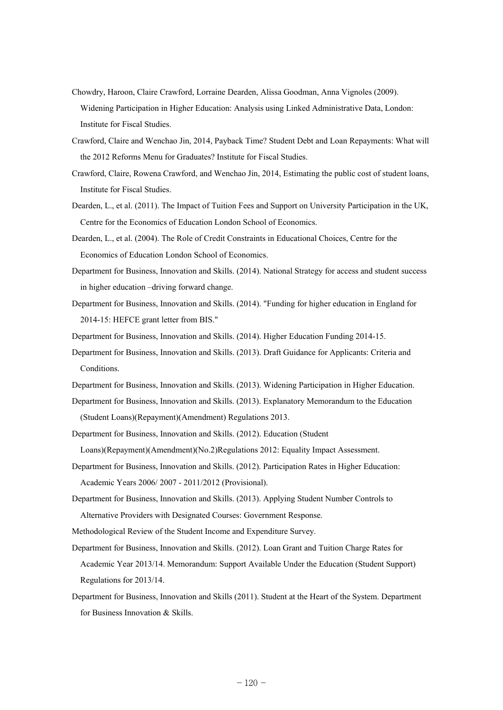- Chowdry, Haroon, Claire Crawford, Lorraine Dearden, Alissa Goodman, Anna Vignoles (2009). Widening Participation in Higher Education: Analysis using Linked Administrative Data, London: Institute for Fiscal Studies.
- Crawford, Claire and Wenchao Jin, 2014, Payback Time? Student Debt and Loan Repayments: What will the 2012 Reforms Menu for Graduates? Institute for Fiscal Studies.
- Crawford, Claire, Rowena Crawford, and Wenchao Jin, 2014, Estimating the public cost of student loans, Institute for Fiscal Studies.
- Dearden, L., et al. (2011). The Impact of Tuition Fees and Support on University Participation in the UK, Centre for the Economics of Education London School of Economics.
- Dearden, L., et al. (2004). The Role of Credit Constraints in Educational Choices, Centre for the Economics of Education London School of Economics.
- Department for Business, Innovation and Skills. (2014). National Strategy for access and student success in higher education –driving forward change.
- Department for Business, Innovation and Skills. (2014). "Funding for higher education in England for 2014-15: HEFCE grant letter from BIS."

Department for Business, Innovation and Skills. (2014). Higher Education Funding 2014-15.

- Department for Business, Innovation and Skills. (2013). Draft Guidance for Applicants: Criteria and Conditions.
- Department for Business, Innovation and Skills. (2013). Widening Participation in Higher Education.
- Department for Business, Innovation and Skills. (2013). Explanatory Memorandum to the Education (Student Loans)(Repayment)(Amendment) Regulations 2013.
- Department for Business, Innovation and Skills. (2012). Education (Student

Loans)(Repayment)(Amendment)(No.2)Regulations 2012: Equality Impact Assessment.

- Department for Business, Innovation and Skills. (2012). Participation Rates in Higher Education: Academic Years 2006/ 2007 - 2011/2012 (Provisional).
- Department for Business, Innovation and Skills. (2013). Applying Student Number Controls to Alternative Providers with Designated Courses: Government Response.
- Methodological Review of the Student Income and Expenditure Survey.
- Department for Business, Innovation and Skills. (2012). Loan Grant and Tuition Charge Rates for Academic Year 2013/14. Memorandum: Support Available Under the Education (Student Support) Regulations for 2013/14.
- Department for Business, Innovation and Skills (2011). Student at the Heart of the System. Department for Business Innovation & Skills.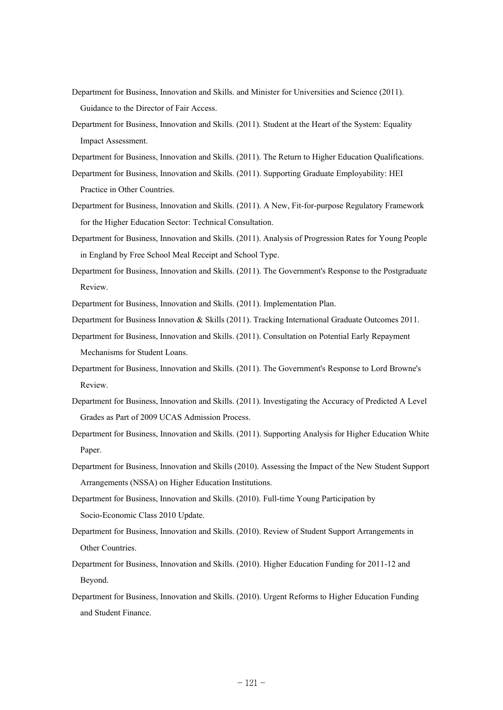- Department for Business, Innovation and Skills. and Minister for Universities and Science (2011). Guidance to the Director of Fair Access.
- Department for Business, Innovation and Skills. (2011). Student at the Heart of the System: Equality Impact Assessment.
- Department for Business, Innovation and Skills. (2011). The Return to Higher Education Qualifications.
- Department for Business, Innovation and Skills. (2011). Supporting Graduate Employability: HEI Practice in Other Countries.
- Department for Business, Innovation and Skills. (2011). A New, Fit-for-purpose Regulatory Framework for the Higher Education Sector: Technical Consultation.
- Department for Business, Innovation and Skills. (2011). Analysis of Progression Rates for Young People in England by Free School Meal Receipt and School Type.
- Department for Business, Innovation and Skills. (2011). The Government's Response to the Postgraduate Review.
- Department for Business, Innovation and Skills. (2011). Implementation Plan.
- Department for Business Innovation & Skills (2011). Tracking International Graduate Outcomes 2011.
- Department for Business, Innovation and Skills. (2011). Consultation on Potential Early Repayment Mechanisms for Student Loans.
- Department for Business, Innovation and Skills. (2011). The Government's Response to Lord Browne's Review.
- Department for Business, Innovation and Skills. (2011). Investigating the Accuracy of Predicted A Level Grades as Part of 2009 UCAS Admission Process.
- Department for Business, Innovation and Skills. (2011). Supporting Analysis for Higher Education White Paper.
- Department for Business, Innovation and Skills (2010). Assessing the Impact of the New Student Support Arrangements (NSSA) on Higher Education Institutions.
- Department for Business, Innovation and Skills. (2010). Full-time Young Participation by Socio-Economic Class 2010 Update.
- Department for Business, Innovation and Skills. (2010). Review of Student Support Arrangements in Other Countries.
- Department for Business, Innovation and Skills. (2010). Higher Education Funding for 2011-12 and Beyond.
- Department for Business, Innovation and Skills. (2010). Urgent Reforms to Higher Education Funding and Student Finance.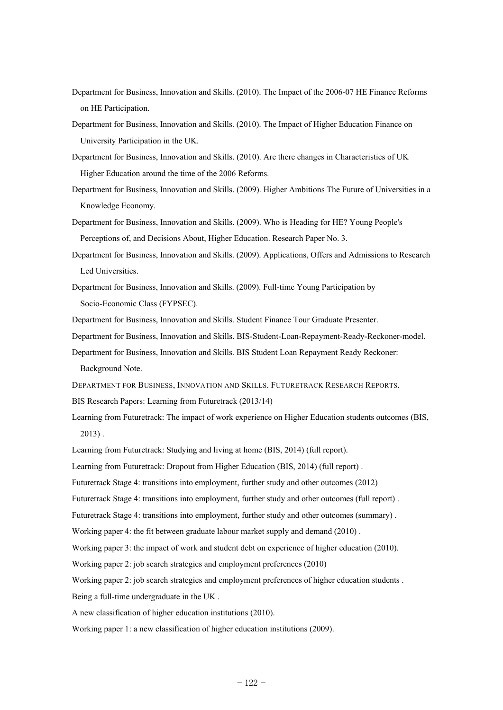- Department for Business, Innovation and Skills. (2010). The Impact of the 2006-07 HE Finance Reforms on HE Participation.
- Department for Business, Innovation and Skills. (2010). The Impact of Higher Education Finance on University Participation in the UK.
- Department for Business, Innovation and Skills. (2010). Are there changes in Characteristics of UK Higher Education around the time of the 2006 Reforms.
- Department for Business, Innovation and Skills. (2009). Higher Ambitions The Future of Universities in a Knowledge Economy.
- Department for Business, Innovation and Skills. (2009). Who is Heading for HE? Young People's Perceptions of, and Decisions About, Higher Education. Research Paper No. 3.
- Department for Business, Innovation and Skills. (2009). Applications, Offers and Admissions to Research Led Universities.
- Department for Business, Innovation and Skills. (2009). Full-time Young Participation by Socio-Economic Class (FYPSEC).
- Department for Business, Innovation and Skills. Student Finance Tour Graduate Presenter.
- Department for Business, Innovation and Skills. BIS-Student-Loan-Repayment-Ready-Reckoner-model.
- Department for Business, Innovation and Skills. BIS Student Loan Repayment Ready Reckoner:
	- Background Note.
- DEPARTMENT FOR BUSINESS, INNOVATION AND SKILLS. FUTURETRACK RESEARCH REPORTS.
- BIS Research Papers: Learning from Futuretrack (2013/14)
- Learning from Futuretrack: The impact of work experience on Higher Education students outcomes (BIS, 2013) .
- Learning from Futuretrack: Studying and living at home (BIS, 2014) (full report).
- Learning from Futuretrack: Dropout from Higher Education (BIS, 2014) (full report) .
- Futuretrack Stage 4: transitions into employment, further study and other outcomes (2012)
- Futuretrack Stage 4: transitions into employment, further study and other outcomes (full report) .
- Futuretrack Stage 4: transitions into employment, further study and other outcomes (summary) .
- Working paper 4: the fit between graduate labour market supply and demand (2010) .
- Working paper 3: the impact of work and student debt on experience of higher education (2010).
- Working paper 2: job search strategies and employment preferences (2010)
- Working paper 2: job search strategies and employment preferences of higher education students .
- Being a full-time undergraduate in the UK .
- A new classification of higher education institutions (2010).
- Working paper 1: a new classification of higher education institutions (2009).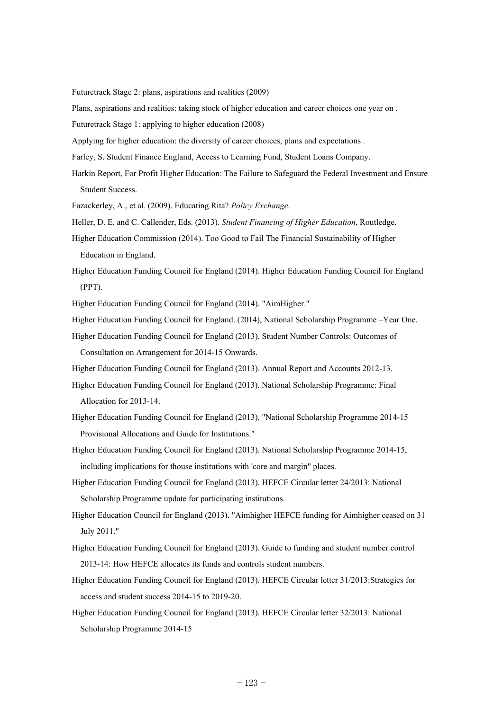Futuretrack Stage 2: plans, aspirations and realities (2009)

Plans, aspirations and realities: taking stock of higher education and career choices one year on .

Futuretrack Stage 1: applying to higher education (2008)

Applying for higher education: the diversity of career choices, plans and expectations .

Farley, S. Student Finance England, Access to Learning Fund, Student Loans Company.

Harkin Report, For Profit Higher Education: The Failure to Safeguard the Federal Investment and Ensure Student Success.

Fazackerley, A., et al. (2009). Educating Rita? *Policy Exchange*.

Heller, D. E. and C. Callender, Eds. (2013). *Student Financing of Higher Education*, Routledge.

- Higher Education Commission (2014). Too Good to Fail The Financial Sustainability of Higher Education in England.
- Higher Education Funding Council for England (2014). Higher Education Funding Council for England (PPT).

Higher Education Funding Council for England (2014). "AimHigher."

- Higher Education Funding Council for England. (2014), National Scholarship Programme –Year One.
- Higher Education Funding Council for England (2013). Student Number Controls: Outcomes of Consultation on Arrangement for 2014-15 Onwards.
- Higher Education Funding Council for England (2013). Annual Report and Accounts 2012-13.
- Higher Education Funding Council for England (2013). National Scholarship Programme: Final Allocation for 2013-14.
- Higher Education Funding Council for England (2013). "National Scholarship Programme 2014-15 Provisional Allocations and Guide for Institutions."
- Higher Education Funding Council for England (2013). National Scholarship Programme 2014-15, including implications for thouse institutions with 'core and margin" places.
- Higher Education Funding Council for England (2013). HEFCE Circular letter 24/2013: National Scholarship Programme update for participating institutions.
- Higher Education Council for England (2013). "Aimhigher HEFCE funding for Aimhigher ceased on 31 July 2011."
- Higher Education Funding Council for England (2013). Guide to funding and student number control 2013-14: How HEFCE allocates its funds and controls student numbers.
- Higher Education Funding Council for England (2013). HEFCE Circular letter 31/2013:Strategies for access and student success 2014-15 to 2019-20.
- Higher Education Funding Council for England (2013). HEFCE Circular letter 32/2013: National Scholarship Programme 2014-15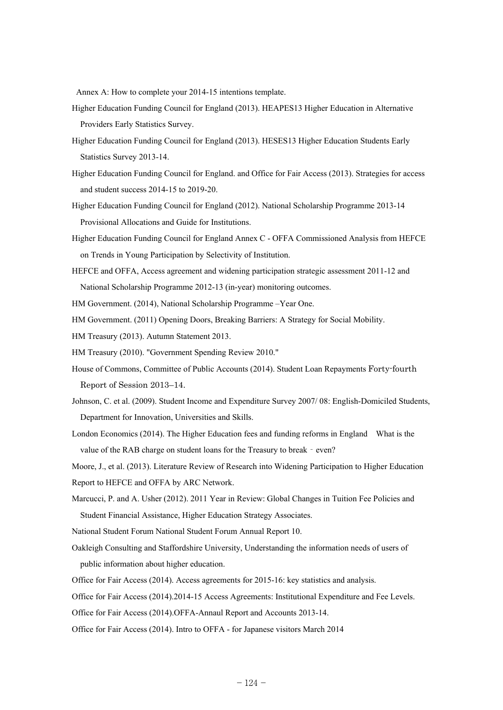Annex A: How to complete your 2014-15 intentions template.

- Higher Education Funding Council for England (2013). HEAPES13 Higher Education in Alternative Providers Early Statistics Survey.
- Higher Education Funding Council for England (2013). HESES13 Higher Education Students Early Statistics Survey 2013-14.
- Higher Education Funding Council for England. and Office for Fair Access (2013). Strategies for access and student success 2014-15 to 2019-20.
- Higher Education Funding Council for England (2012). National Scholarship Programme 2013-14 Provisional Allocations and Guide for Institutions.
- Higher Education Funding Council for England Annex C OFFA Commissioned Analysis from HEFCE on Trends in Young Participation by Selectivity of Institution.
- HEFCE and OFFA, Access agreement and widening participation strategic assessment 2011-12 and National Scholarship Programme 2012-13 (in-year) monitoring outcomes.
- HM Government. (2014), National Scholarship Programme –Year One.
- HM Government. (2011) Opening Doors, Breaking Barriers: A Strategy for Social Mobility.
- HM Treasury (2013). Autumn Statement 2013.
- HM Treasury (2010). "Government Spending Review 2010."
- House of Commons, Committee of Public Accounts (2014). Student Loan Repayments Forty-fourth Report of Session 2013–14.
- Johnson, C. et al. (2009). Student Income and Expenditure Survey 2007/ 08: English-Domiciled Students, Department for Innovation, Universities and Skills.
- London Economics (2014). The Higher Education fees and funding reforms in England What is the value of the RAB charge on student loans for the Treasury to break - even?
- Moore, J., et al. (2013). Literature Review of Research into Widening Participation to Higher Education Report to HEFCE and OFFA by ARC Network.
- Marcucci, P. and A. Usher (2012). 2011 Year in Review: Global Changes in Tuition Fee Policies and Student Financial Assistance, Higher Education Strategy Associates.
- National Student Forum National Student Forum Annual Report 10.
- Oakleigh Consulting and Staffordshire University, Understanding the information needs of users of public information about higher education.
- Office for Fair Access (2014). Access agreements for 2015-16: key statistics and analysis.
- Office for Fair Access (2014).2014-15 Access Agreements: Institutional Expenditure and Fee Levels.
- Office for Fair Access (2014).OFFA-Annaul Report and Accounts 2013-14.
- Office for Fair Access (2014). Intro to OFFA for Japanese visitors March 2014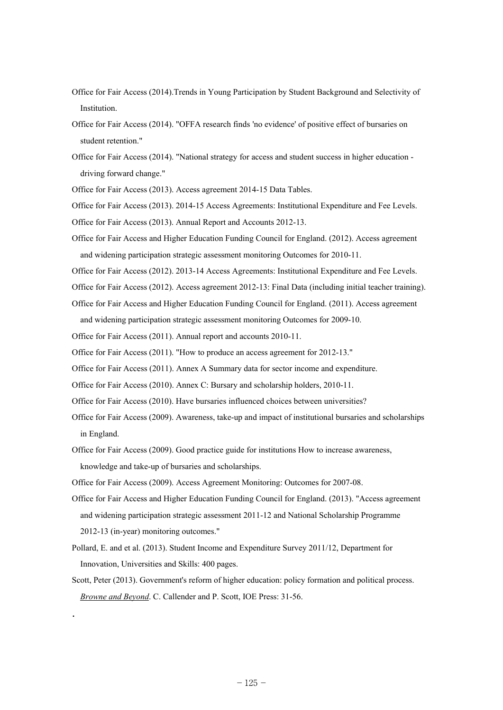- Office for Fair Access (2014).Trends in Young Participation by Student Background and Selectivity of Institution.
- Office for Fair Access (2014). "OFFA research finds 'no evidence' of positive effect of bursaries on student retention"
- Office for Fair Access (2014). "National strategy for access and student success in higher education driving forward change."

Office for Fair Access (2013). Access agreement 2014-15 Data Tables.

Office for Fair Access (2013). 2014-15 Access Agreements: Institutional Expenditure and Fee Levels.

Office for Fair Access (2013). Annual Report and Accounts 2012-13.

Office for Fair Access and Higher Education Funding Council for England. (2012). Access agreement and widening participation strategic assessment monitoring Outcomes for 2010-11.

Office for Fair Access (2012). 2013-14 Access Agreements: Institutional Expenditure and Fee Levels.

Office for Fair Access (2012). Access agreement 2012-13: Final Data (including initial teacher training).

Office for Fair Access and Higher Education Funding Council for England. (2011). Access agreement and widening participation strategic assessment monitoring Outcomes for 2009-10.

Office for Fair Access (2011). Annual report and accounts 2010-11.

Office for Fair Access (2011). "How to produce an access agreement for 2012-13."

Office for Fair Access (2011). Annex A Summary data for sector income and expenditure.

Office for Fair Access (2010). Annex C: Bursary and scholarship holders, 2010-11.

Office for Fair Access (2010). Have bursaries influenced choices between universities?

- Office for Fair Access (2009). Awareness, take-up and impact of institutional bursaries and scholarships in England.
- Office for Fair Access (2009). Good practice guide for institutions How to increase awareness, knowledge and take-up of bursaries and scholarships.

Office for Fair Access (2009). Access Agreement Monitoring: Outcomes for 2007-08.

.

- Office for Fair Access and Higher Education Funding Council for England. (2013). "Access agreement and widening participation strategic assessment 2011-12 and National Scholarship Programme 2012-13 (in-year) monitoring outcomes."
- Pollard, E. and et al. (2013). Student Income and Expenditure Survey 2011/12, Department for Innovation, Universities and Skills: 400 pages.
- Scott, Peter (2013). Government's reform of higher education: policy formation and political process. *Browne and Beyond*. C. Callender and P. Scott, IOE Press: 31-56.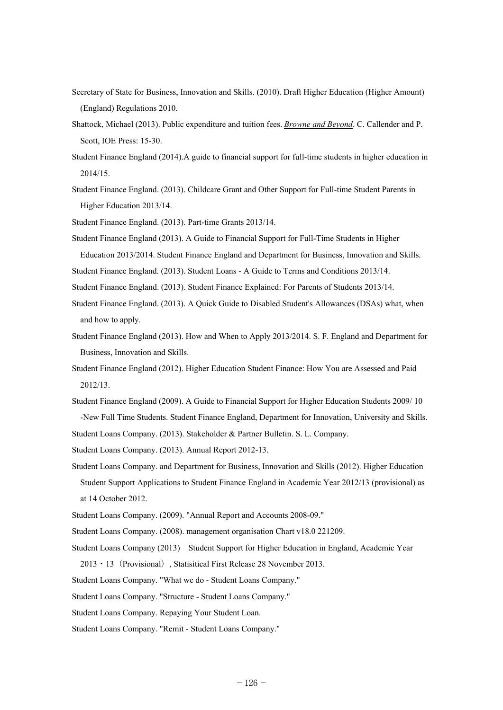- Secretary of State for Business, Innovation and Skills. (2010). Draft Higher Education (Higher Amount) (England) Regulations 2010.
- Shattock, Michael (2013). Public expenditure and tuition fees. *Browne and Beyond*. C. Callender and P. Scott, IOE Press: 15-30.
- Student Finance England (2014).A guide to financial support for full-time students in higher education in 2014/15.
- Student Finance England. (2013). Childcare Grant and Other Support for Full-time Student Parents in Higher Education 2013/14.

Student Finance England. (2013). Part-time Grants 2013/14.

Student Finance England (2013). A Guide to Financial Support for Full-Time Students in Higher Education 2013/2014. Student Finance England and Department for Business, Innovation and Skills.

Student Finance England. (2013). Student Loans - A Guide to Terms and Conditions 2013/14.

Student Finance England. (2013). Student Finance Explained: For Parents of Students 2013/14.

- Student Finance England. (2013). A Quick Guide to Disabled Student's Allowances (DSAs) what, when and how to apply.
- Student Finance England (2013). How and When to Apply 2013/2014. S. F. England and Department for Business, Innovation and Skills.
- Student Finance England (2012). Higher Education Student Finance: How You are Assessed and Paid 2012/13.
- Student Finance England (2009). A Guide to Financial Support for Higher Education Students 2009/ 10 -New Full Time Students. Student Finance England, Department for Innovation, University and Skills.

Student Loans Company. (2013). Stakeholder & Partner Bulletin. S. L. Company.

Student Loans Company. (2013). Annual Report 2012-13.

- Student Loans Company. and Department for Business, Innovation and Skills (2012). Higher Education Student Support Applications to Student Finance England in Academic Year 2012/13 (provisional) as at 14 October 2012.
- Student Loans Company. (2009). "Annual Report and Accounts 2008-09."
- Student Loans Company. (2008). management organisation Chart v18.0 221209.
- Student Loans Company (2013) Student Support for Higher Education in England, Academic Year 2013・13(Provisional), Statisitical First Release 28 November 2013.
- Student Loans Company. "What we do Student Loans Company."

Student Loans Company. "Structure - Student Loans Company."

- Student Loans Company. Repaying Your Student Loan.
- Student Loans Company. "Remit Student Loans Company."